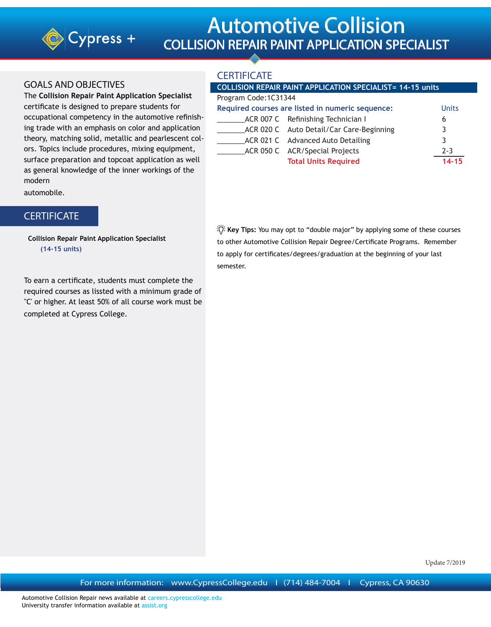

# Automotive Collision COLLISION REPAIR PAINT APPLICATION SPECIALIST

### GOALS AND OBJECTIVES

The **Collision Repair Paint Application Specialist** certificate is designed to prepare students for occupational competency in the automotive refinishing trade with an emphasis on color and application theory, matching solid, metallic and pearlescent colors. Topics include procedures, mixing equipment, surface preparation and topcoat application as well as general knowledge of the inner workings of the modern

automobile.

## **CERTIFICATE**

 **Collision Repair Paint Application Specialist (14-15 units)**

To earn a certificate, students must complete the required courses as lissted with a minimum grade of "C' or higher. At least 50% of all course work must be completed at Cypress College.

## **CERTIFICATE**

#### **COLLISION REPAIR PAINT APPLICATION SPECIALIST= 14-15 units**

#### Program Code:1C31344

| Required courses are listed in numeric sequence: | <b>Units</b>                             |           |
|--------------------------------------------------|------------------------------------------|-----------|
|                                                  | ACR 007 C Refinishing Technician I       | b         |
|                                                  | ACR 020 C Auto Detail/Car Care-Beginning | 3         |
|                                                  | ACR 021 C Advanced Auto Detailing        | 3         |
|                                                  | ACR 050 C ACR/Special Projects           | $2 - 3$   |
|                                                  | <b>Total Units Required</b>              | $14 - 15$ |

 **Key Tips:** You may opt to "double major" by applying some of these courses to other Automotive Collision Repair Degree/Certificate Programs. Remember to apply for certificates/degrees/graduation at the beginning of your last semester.